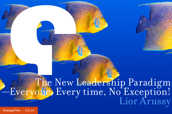# The New Leadership Paradigm<br>-Everyone, Every time, No Exception!<br>Lior Arussy

[ChangeThis](http://changethis.com) | 129.05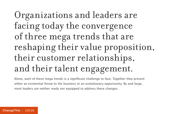# Organizations and leaders are facing today the convergence of three mega trends that are reshaping their value proposition, their customer relationships, and their talent engagement.

Alone, each of these mega trends is a significant challenge to face. Together they present either an existential threat to the business or an evolutionary opportunity. By and large, most leaders are neither ready nor equipped to address these changes.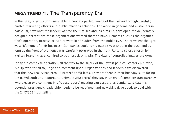#### **MEGA TREND #1:** The Transparency Era

In the past, organizations were able to create a perfect image of themselves through carefully crafted marketing efforts and public relations activities. The world in general, and customers in particular, saw what the leaders wanted them to see and, as a result, developed the deliberately designed perceptions those organizations wanted them to have. Elements such as the organization's operation, process or culture were kept hidden from the public eye. The prevalent thought was: "It's none of their business." Companies could run a nasty sweat shop in the back end as long as the front of the house was carefully portrayed in the right Pantone colors chosen by a glitzy branding agency hired to put lipstick on a pig. The days of controlled images are gone.

Today the complete operation, all the way to the salary of the lowest paid call center employee, is displayed for all to judge and comment upon. Organizations and leaders have discovered that this new reality has zero PR protection fig leafs. They are there in their birthday suits facing the naked truth and required to defend EVERYTHING they do. In an era of complete transparency where even one comment in a "closed doors" meeting can cost a presidential candidate his potential presidency, leadership needs to be redefined, and new skills developed, to deal with the 24/7/365 truth telling.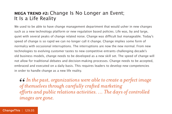#### **MEGA TREND #2:** Change Is No Longer an Event; It Is a Life Reality

We used to be able to have change management department that would usher in new changes such as a new technology platform or new regulation based policies. Life was, by and large, quiet with several peaks of change related noise. Change was difficult but manageable. Today's speed of change is so rapid we can no longer call it change. Change implies some form of normalcy with occasional interruptions. The interruptions are now the new normal. From new technologies to evolving customer tastes to new competitive entrants challenging decade's old business models, change needs to be developed as a new skill set. The speed of change will not allow for traditional debates and decision-making processes. Change needs to be accepted, embraced and executed on a daily basis. This requires leaders to develop new competencies in order to handle change as a new life reality.

*In the past, organizations were able to create a perfect image of themselves through carefully crafted marketing*   $\epsilon$   $\epsilon$  In the past, organizations were able to create a perfect image of themselves through carefully crafted marketing efforts and public relations activities. ... The days of controlled *images are gone.*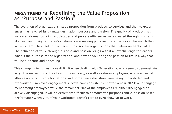#### **MEGA TREND #3:** Redefining the Value Proposition as "Purpose and Passion"

The evolution of organizations' value proposition from products to services and then to experiences, has reached its ultimate destination: purpose and passion. The quality of products has increased dramatically in past decades and process efficiencies were created through programs like Lean and 6 Sigma. Today's customers are seeking purposed based vendors who match their value system. They seek to partner with passionate organizations that deliver authentic value. The definition of value through purpose and passion brings with it a new challenge for leaders. What is the purpose of the organization, and how do you bring the passion to life in a way that will be authentic and appealing?

This change is ten times more difficult when dealing with Generation Y, who seem to demonstrate very little respect for authority and bureaucracy, as well as veteran employees, who are cynical after years of cost reduction efforts and borderline exhaustion from being understaffed and overworked. Employee engagement surveys have consistently showed a near 30% level of engagement among employees while the remainder 70% of the employees are either disengaged or actively disengaged. It will be extremely difficult to demonstrate purpose-centric, passion based performance when 70% of your workforce doesn't care to even show up to work.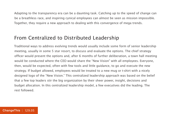Adapting to the transparency era can be a daunting task. Catching up to the speed of change can be a breathless race, and inspiring cynical employees can almost be seen as mission impossible. Together, they require a new approach to dealing with this convergence of mega trends.

#### From Centralized to Distributed Leadership

Traditional ways to address evolving trends would usually include some form of senior leadership meeting, usually in some 5 star resort, to discuss and evaluate the options. The chief strategy officer would present the options and, after 6 months of further deliberation, a town hall meeting would be conducted where the CEO would share the "New Vision" with all employees. Everyone, then, would be expected, often with few tools and little guidance, to go and execute the new strategy. If budget allowed, employees would be treated to a new mug or t-shirt with a nicely designed logo of the "New Vision." This centralized leadership approach was based on the belief that a few top leaders stir the big organization by their sheer power, insight, decisions and budget allocation. In this centralized leadership model, a few executives did the leading. The rest followed.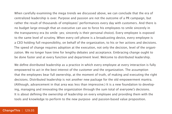When carefully examining the mega trends we discussed above, we can conclude that the era of centralized leadership is over. Purpose and passion are not the outcome of a PR campaign, but rather the result of thousands of employees' performances every day with customers. And there is no budget large enough that an executive can use to force his employees to smile sincerely in the transparency era (to smile- yes; sincerely is their personal choice). Every employee is exposed to the same level of scrutiny. When every cell phone is a broadcasting device, every employee is a CEO holding full responsibility, on behalf of the organization, to his or her actions and decisions. The speed of change requires adoption at the execution, not only the decision, level of the organization. We no longer have time for lengthy debates and acceptance. Embracing change ought to be done faster and at every function and department level. Welcome to distributed leadership.

We define distributed leadership as a practice in which every employee at every interaction is fully empowered to act in the best interest of the customer and the organization. The assumption that the employees bear full ownership, at the moment of truth, of making and executing the right decisions. Distributed leadership is not another new package for the old empowerment mantra. (Although, advancement in that area was less than impressive.) It is a new foundation to developing, managing and innovating the organization through the sum total of everyone's decisions. It is about defining the ownership of leadership on every employee and providing them with the tools and knowledge to perform to the new purpose- and passion-based value proposition.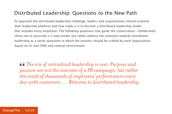#### Distributed Leadership: Questions to the New Path

To approach the distributed leadership challenge, leaders and organizations should examine their leadership platform and how ready is it to become a distributed leadership model that includes every employee. The following questions may guide the conversation. I deliberately chose not to prescribe a 5-step model, but rather address the evolution towards distributed leadership as a series questions in which the answers should be crafted by each organization, based on its own DNA and cultural environment.

*The era of centralized leadership is over. Purpose and passion are not the outcome of a PR campaign, but rather the result of thousands of employees' performances every day with customers. … Welcome to distributed leadership.* 66<br>*pa*<br>*the*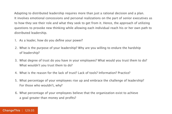Adapting to distributed leadership requires more than just a rational decision and a plan. It involves emotional concessions and personal realizations on the part of senior executives as to how they see their role and what they seek to get from it. Hence, the approach of utilizing questions to provoke new thinking while allowing each individual reach his or her own path to distributed leadership.

- 1. As a leader, how do you define your power?
- 2. What is the purpose of your leadership? Why are you willing to endure the hardship of leadership?
- 3. What degree of trust do you have in your employees? What would you trust them to do? What wouldn't you trust them to do?
- 4. What is the reason for the lack of trust? Lack of tools? Information? Practice?
- 5. What percentage of your employees rise up and embrace the challenge of leadership? For those who wouldn't, why?
- 6. What percentage of your employees believe that the organization exist to achieve a goal greater than money and profits?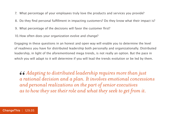- 7. What percentage of your employees truly love the products and services you provide?
- 8. Do they find personal fulfillment in impacting customers? Do they know what their impact is?
- 9. What percentage of the decisions will favor the customer first?
- 10.How often does your organization evolve and change?

Engaging in these questions in an honest and open way will enable you to determine the level of readiness you have for distributed leadership both personally and organizationally. Distributed leadership, in light of the aforementioned mega trends, is not really an option. But the pace in which you will adapt to it will determine if you will lead the trends evolution or be led by them.

*Adapting to distributed leadership requires more than just a rational decision and a plan. It involves emotional concessions and personal realizations on the part of senior executives as to how they see their role and what they seek to get from it.* 66<br> *a r*<br> *an*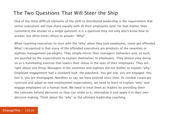#### The Two Questions That Will Steer the Ship

One of the most difficult elements of the shift to distributed leadership is the requirement that senior executives will now share equally with all their employees (and, for that matter, their customers) the answer to a single question. It is a question they not only don't know how to answer, but often times refuse to answer: "Why?"

When coaching executives to start with the "why" when they task employees, some get offended. What I recognized is that many of the offended executives are products of the seventies or eighties management paradigms. They simply mirror their managers' behaviors and, as such, are puzzled by the expectations to explain themselves to employees. They almost view doing so as a humiliating exercise that lowers their status in the eyes of their employees. They are right about one thing. Managers in the seventies and eighties did not bother to explain "why." Employee engagement had a standard look: the paycheck. You got one, you are engaged. You lost it, you are disengaged. Needless to say, we have evolved since then. To combat corporate cynicism and adapt to new employment expectations, we need to learn to explain "why" and engage employees on a human level. We need to treat them as leaders by providing them the rationale behind decisions so they can relate to it, internalize it and apply it in their own decision making. Think about the "why" as the ultimate leadership coaching.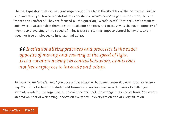The next question that can set your organization free from the shackles of the centralized leadership and steer you towards distributed leadership is "what's next?" Organizations today seek to "repeat and reinforce." They are focused on the question, "what's best?" They seek best practices and try to institutionalize them. Institutionalizing practices and processes is the exact opposite of moving and evolving at the speed of light. It is a constant attempt to control behaviors, and it does not free employees to innovate and adapt.

*Institutionalizing practices and processes is the exact opposite of moving and evolving at the speed of light. It is a constant attempt to control behaviors, and it does not free employees to innovate and adapt.*  66<br> *op*<br> *It i* 

By focusing on "what's next," you accept that whatever happened yesterday was good for yesterday. You do not attempt to stretch old formulas of success over new domains of challenges. Instead, condition the organization to embrace and seek the change in its earlier form. You create an environment of welcoming innovation every day, in every action and at every function.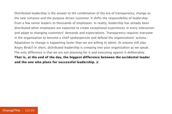Distributed leadership is the answer to the combination of the era of transparency, change as the new romance and the purpose driven customer. It shifts the responsibility of leadership from a few senior leaders to thousands of employees. In reality, leadership has already been distributed when employees are expected to create exceptional experiences in every interaction and adapt to changing customers' demands and expectations. Transparency requires everyone in the organization to become a chief spokesperson and defend the organizations' actions. Adaptation to change is happening faster than we are willing to admit. (Is anyone still play Angry Birds?) In short, distributed leadership is creeping into your organization as we speak. The only difference is that we are not planning for it and executing against it deliberately. **That is, at the end of the day, the biggest difference between the accidental leader and the one who plans for successful leadership.**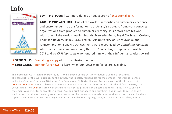### Info



#### **BUY THE BOOK** | Get more details or buy a copy of [Exceptionalize It](http://800ceoread.com/products/exceptionalize-it-revised-lior-arussy-english?selected=192414).

**ABOUT THE AUTHOR** | One of the world's authorities on customer experience and customer centric transformation, Lior Arussy's strategic framework converts organizations from product- to customer-centricity. It is drawn from his work with some of the world's leading brands: Mercedes-Benz, Royal Caribbean Cruises, Thomson Reuters, HSBC, E.ON, FedEx, SAP, University of Pennsylvania, and Johnson and Johnson. His achievements were recognized by Consulting Magazine which named his company among the Top 7 consulting companies to watch in 2015 and by CRM Magazine who honored him with their Influential Leaders award.

- → **SEND THIS** | [Pass along a copy](http://www.changethis.com/128.01.OverfishedOceanStrategy/email) of this manifesto to others.
- **→ SUBSCRIBE** | Sign up fo[r e-news](http://changethis.com/page/show/e_mail_newsletter) to learn when our latest manifestos are available.

This document was created on May 13, 2015 and is based on the best information available at that time. The copyright of this work belongs to the author, who is solely responsible for the content. This work is licensed under the Creative Commons Attribution-NonCommercial-NoDerivs License. To view a copy of this license, visit [Creative Commons](http://creativecommons.org/licenses/by-nc-nd/2.0/) or send a letter to Creative Commons, 559 Nathan Abbott Way, Stanford, California 94305, USA. Cover image from [Veer.](http://www.veer.com/) You are given the unlimited right to print this manifesto and to distribute it electronically (via email, your website, or any other means). You can print out pages and put them in your favorite coffee shop's windows or your doctor's waiting room. You can transcribe the author's words onto the sidewalk, or you can hand out copies to everyone you meet. You may not alter this manifesto in any way, though, and you may not charge for it.